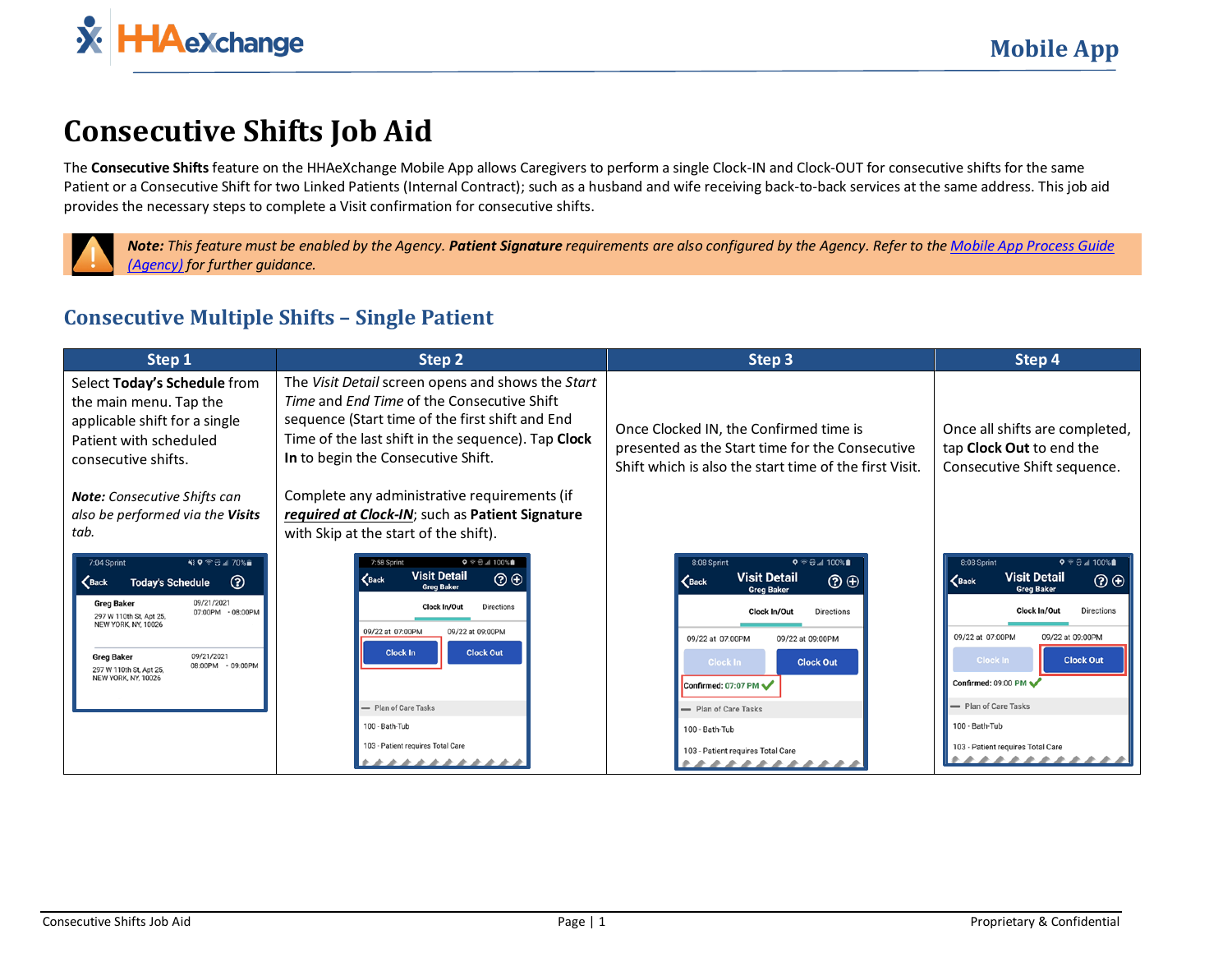

## **Consecutive Shifts Job Aid**

The **Consecutive Shifts** feature on the HHAeXchange Mobile App allows Caregivers to perform a single Clock-IN and Clock-OUT for consecutive shifts for the same Patient or a Consecutive Shift for two Linked Patients (Internal Contract); such as a husband and wife receiving back-to-back services at the same address. This job aid provides the necessary steps to complete a Visit confirmation for consecutive shifts.



*Note: This feature must be enabled by the Agency. Patient Signature requirements are also configured by the Agency. Refer to the [Mobile App Process Guide](https://s3.amazonaws.com/hhaxsupport/SupportDocs/Enterprise/Process+Guides/Process+Guide+-+Mobile+App+Agency.pdf)  [\(Agency\)](https://s3.amazonaws.com/hhaxsupport/SupportDocs/Enterprise/Process+Guides/Process+Guide+-+Mobile+App+Agency.pdf) for further guidance.*

## **Consecutive Multiple Shifts – Single Patient**

| Step 1                                                                                                                                                                                                                                                                                                                        | Step 2                                                                                                                                                                                                                                                                                                                                                                              | Step 3                                                                                                                                                                                                                                                                                                                                                             | Step 4                                                                                                                                                                                                                                                                                                                                                           |
|-------------------------------------------------------------------------------------------------------------------------------------------------------------------------------------------------------------------------------------------------------------------------------------------------------------------------------|-------------------------------------------------------------------------------------------------------------------------------------------------------------------------------------------------------------------------------------------------------------------------------------------------------------------------------------------------------------------------------------|--------------------------------------------------------------------------------------------------------------------------------------------------------------------------------------------------------------------------------------------------------------------------------------------------------------------------------------------------------------------|------------------------------------------------------------------------------------------------------------------------------------------------------------------------------------------------------------------------------------------------------------------------------------------------------------------------------------------------------------------|
| Select Today's Schedule from<br>the main menu. Tap the<br>applicable shift for a single<br>Patient with scheduled<br>consecutive shifts.                                                                                                                                                                                      | The Visit Detail screen opens and shows the Start<br>Time and End Time of the Consecutive Shift<br>sequence (Start time of the first shift and End<br>Time of the last shift in the sequence). Tap Clock<br>In to begin the Consecutive Shift.                                                                                                                                      | Once Clocked IN, the Confirmed time is<br>presented as the Start time for the Consecutive<br>Shift which is also the start time of the first Visit.                                                                                                                                                                                                                | Once all shifts are completed,<br>tap Clock Out to end the<br>Consecutive Shift sequence.                                                                                                                                                                                                                                                                        |
| <b>Note:</b> Consecutive Shifts can<br>also be performed via the Visits<br>tab.                                                                                                                                                                                                                                               | Complete any administrative requirements (if<br>required at Clock-IN; such as Patient Signature<br>with Skip at the start of the shift).                                                                                                                                                                                                                                            |                                                                                                                                                                                                                                                                                                                                                                    |                                                                                                                                                                                                                                                                                                                                                                  |
| NI 9 全日 4 70% m<br>7:04 Sprint<br>$\circledcirc$<br><b>Today's Schedule</b><br>$\zeta$ Back<br>09/21/2021<br><b>Greg Baker</b><br>07:00PM - 08:00PM<br>297 W 110th St, Apt 25.<br><b>NEW YORK, NY, 10026</b><br>09/21/2021<br><b>Greg Baker</b><br>08:00PM - 09:00PM<br>297 W 110th St. Apt 25.<br><b>NEW YORK, NY, 10026</b> | $9$ $\approx$ $\approx$ $\approx$ $100\%$ $\blacksquare$<br>7:58 Sprint<br><b>Visit Detail</b><br>$\circledcirc$<br>$\mathbf{\langle}$ Back<br><b>Grea Baker</b><br><b>Directions</b><br>Clock In/Out<br>09/22 at 07:00PM<br>09/22 at 09:00PM<br><b>Clock Out</b><br><b>Clock In</b><br>- Plan of Care Tasks<br>100 - Bath-Tub<br>103 - Patient requires Total Care<br>************ | $Q \ncong \bigoplus_{i=1}^n 100\%$<br>8:08 Sprint<br><b>Visit Detail</b><br>$\circledcirc$<br>$\epsilon$ Back<br><b>Grea Baker</b><br>Clock In/Out<br><b>Directions</b><br>09/22 at 07:00PM<br>09/22 at 09:00PM<br>Clock In<br><b>Clock Out</b><br>Confirmed: 07:07 PM<br>- Plan of Care Tasks<br>100 - Bath-Tub<br>103 - Patient requires Total Care<br>********* | $Q \cong \bigoplus_{i=1}^n 100\%$<br>8:08 Sprint<br><b>Visit Detail</b><br>$\circledcirc$<br>$\zeta$ Back<br><b>Greg Baker</b><br>Clock In/Out<br>Directions<br>09/22 at 07:00PM<br>09/22 at 09:00PM<br><b>Clock In</b><br><b>Clock Out</b><br>Confirmed: 09:00 PM<br>- Plan of Care Tasks<br>100 - Bath-Tub<br>103 - Patient requires Total Care<br>*********** |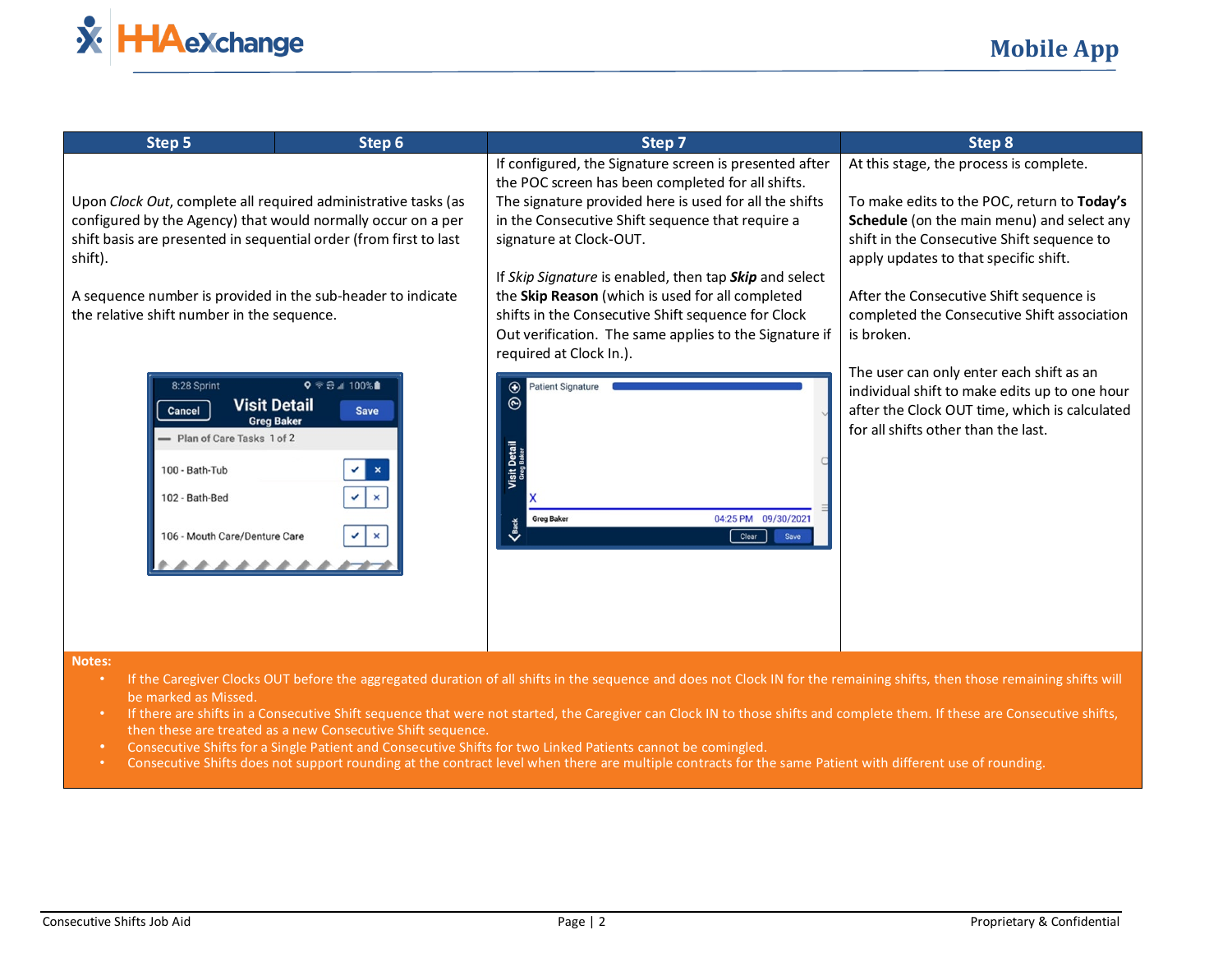

| Step 5                                                                                                                                                                                                         | Step 6                                                                                            | Step 7                                                                                                                                                                                                                                                | Step 8                                                                                                                                                                            |  |
|----------------------------------------------------------------------------------------------------------------------------------------------------------------------------------------------------------------|---------------------------------------------------------------------------------------------------|-------------------------------------------------------------------------------------------------------------------------------------------------------------------------------------------------------------------------------------------------------|-----------------------------------------------------------------------------------------------------------------------------------------------------------------------------------|--|
|                                                                                                                                                                                                                |                                                                                                   | If configured, the Signature screen is presented after<br>the POC screen has been completed for all shifts.                                                                                                                                           | At this stage, the process is complete.                                                                                                                                           |  |
| Upon Clock Out, complete all required administrative tasks (as<br>configured by the Agency) that would normally occur on a per<br>shift basis are presented in sequential order (from first to last<br>shift). |                                                                                                   | The signature provided here is used for all the shifts<br>in the Consecutive Shift sequence that require a<br>signature at Clock-OUT.                                                                                                                 | To make edits to the POC, return to Today's<br>Schedule (on the main menu) and select any<br>shift in the Consecutive Shift sequence to<br>apply updates to that specific shift.  |  |
| A sequence number is provided in the sub-header to indicate<br>the relative shift number in the sequence.                                                                                                      |                                                                                                   | If Skip Signature is enabled, then tap Skip and select<br>the Skip Reason (which is used for all completed<br>shifts in the Consecutive Shift sequence for Clock<br>Out verification. The same applies to the Signature if<br>required at Clock In.). | After the Consecutive Shift sequence is<br>completed the Consecutive Shift association<br>is broken.                                                                              |  |
| 8:28 Sprint<br>Cancel<br>- Plan of Care Tasks 1 of 2                                                                                                                                                           | $9$ $\approx$ $\approx$ $\approx$ 100%<br><b>Visit Detail</b><br><b>Save</b><br><b>Greg Baker</b> | <b>Patient Signature</b><br>$\bigoplus$<br>$\odot$                                                                                                                                                                                                    | The user can only enter each shift as an<br>individual shift to make edits up to one hour<br>after the Clock OUT time, which is calculated<br>for all shifts other than the last. |  |
| 100 - Bath-Tub<br>102 - Bath-Bed                                                                                                                                                                               | ✓<br>$\mathbf{x}$                                                                                 | Visit  <br>04:25 PM 09/30/2021<br><b>Greg Baker</b>                                                                                                                                                                                                   |                                                                                                                                                                                   |  |
| 106 - Mouth Care/Denture Care                                                                                                                                                                                  | ✓<br>$\boldsymbol{\mathsf{x}}$                                                                    | $\boldsymbol{\zeta}$ Back<br>Clear<br>Save                                                                                                                                                                                                            |                                                                                                                                                                                   |  |
|                                                                                                                                                                                                                |                                                                                                   |                                                                                                                                                                                                                                                       |                                                                                                                                                                                   |  |

## **Notes:**

- If the Caregiver Clocks OUT before the aggregated duration of all shifts in the sequence and does not Clock IN for the remaining shifts, then those remaining shifts will be marked as Missed.
- If there are shifts in a Consecutive Shift sequence that were not started, the Caregiver can Clock IN to those shifts and complete them. If these are Consecutive shifts, then these are treated as a new Consecutive Shift sequence.
- Consecutive Shifts for a Single Patient and Consecutive Shifts for two Linked Patients cannot be comingled.
- Consecutive Shifts does not support rounding at the contract level when there are multiple contracts for the same Patient with different use of rounding.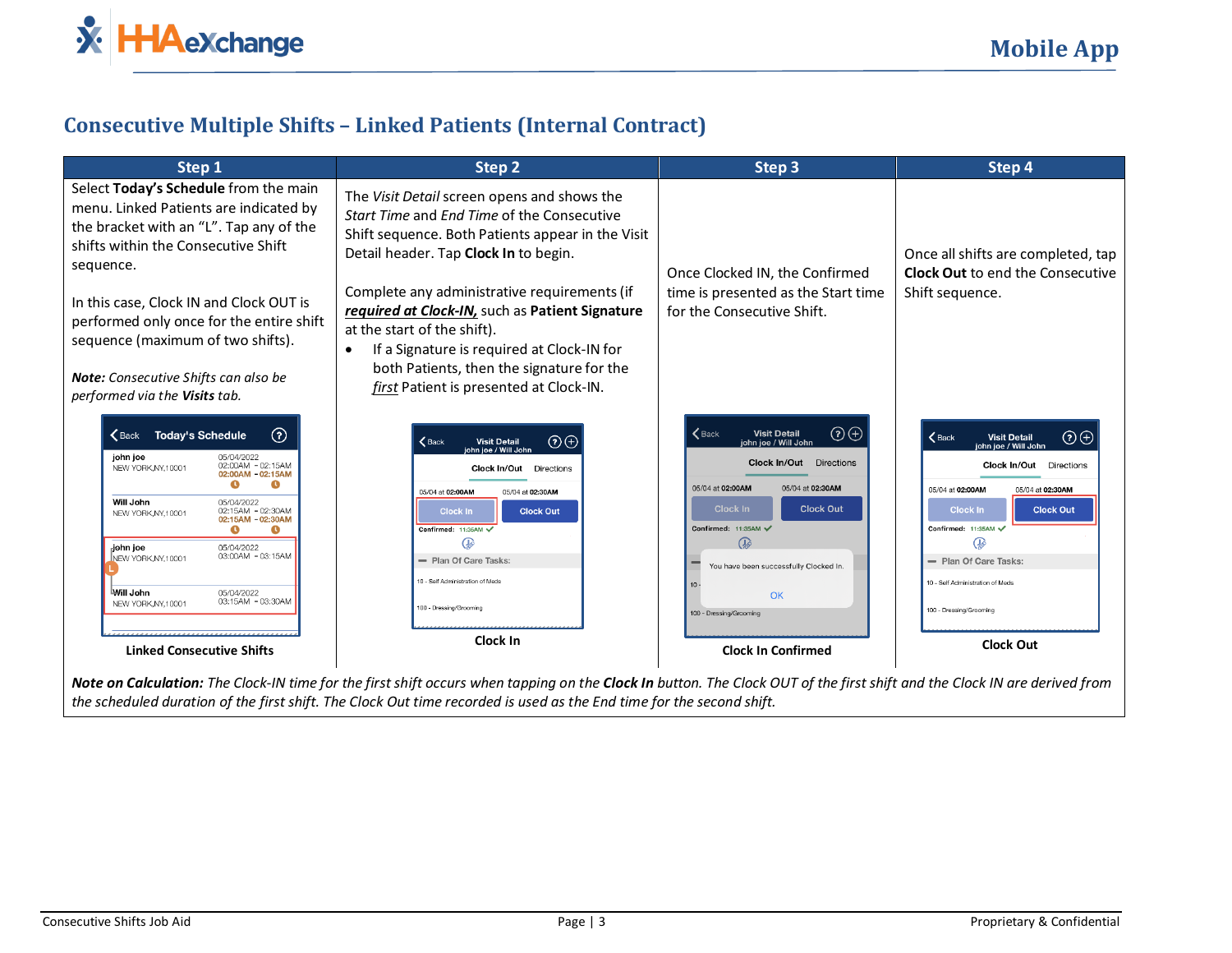

## **Consecutive Multiple Shifts – Linked Patients (Internal Contract)**

| Step 1                                                                                                                                                                                                                                                                                                                                                                                       | Step 2                                                                                                                                                                                                                                                                                                                                                                                                               | Step 3                                                                                                                                                                                                                                                                                  | Step 4                                                                                                                                                                                                                                                                                                     |
|----------------------------------------------------------------------------------------------------------------------------------------------------------------------------------------------------------------------------------------------------------------------------------------------------------------------------------------------------------------------------------------------|----------------------------------------------------------------------------------------------------------------------------------------------------------------------------------------------------------------------------------------------------------------------------------------------------------------------------------------------------------------------------------------------------------------------|-----------------------------------------------------------------------------------------------------------------------------------------------------------------------------------------------------------------------------------------------------------------------------------------|------------------------------------------------------------------------------------------------------------------------------------------------------------------------------------------------------------------------------------------------------------------------------------------------------------|
| Select Today's Schedule from the main<br>menu. Linked Patients are indicated by<br>the bracket with an "L". Tap any of the<br>shifts within the Consecutive Shift<br>sequence.<br>In this case, Clock IN and Clock OUT is<br>performed only once for the entire shift<br>sequence (maximum of two shifts).                                                                                   | The Visit Detail screen opens and shows the<br>Start Time and End Time of the Consecutive<br>Shift sequence. Both Patients appear in the Visit<br>Detail header. Tap Clock In to begin.<br>Complete any administrative requirements (if<br>required at Clock-IN, such as Patient Signature<br>at the start of the shift).<br>If a Signature is required at Clock-IN for<br>both Patients, then the signature for the | Once Clocked IN, the Confirmed<br>time is presented as the Start time<br>for the Consecutive Shift.                                                                                                                                                                                     | Once all shifts are completed, tap<br><b>Clock Out to end the Consecutive</b><br>Shift sequence.                                                                                                                                                                                                           |
| <b>Note:</b> Consecutive Shifts can also be<br>performed via the Visits tab.                                                                                                                                                                                                                                                                                                                 | first Patient is presented at Clock-IN.                                                                                                                                                                                                                                                                                                                                                                              |                                                                                                                                                                                                                                                                                         |                                                                                                                                                                                                                                                                                                            |
| $\odot$<br><b>Today's Schedule</b><br>$\zeta$ Back<br>john joe<br>05/04/2022<br>02:00AM - 02:15AM<br>NEW YORK, NY, 10001<br>02:00AM - 02:15AM<br>A<br>Will John<br>05/04/2022<br>02:15AM - 02:30AM<br>NEW YORK, NY, 10001<br>02:15AM - 02:30AM<br>Q<br>05/04/2022<br>iohn ioe<br>03:00AM - 03:15AM<br>NEW YORK.NY.10001<br>Will John<br>05/04/2022<br>03:15AM - 03:30AM<br>NEW YORK.NY.10001 | $\odot$ $\odot$<br>$\mathbf{\langle}$ Back<br><b>Visit Detail</b><br>n ioe / Will John<br><b>Clock In/Out</b><br><b>Directions</b><br>05/04 at 02:00AM<br>05/04 at 02:30AM<br><b>Clock In</b><br><b>Clock Out</b><br>Confirmed: 11:35AM<br>Œ,<br>- Plan Of Care Tasks:<br>10 - Self Administration of Meds<br>100 - Dressing/Grooming                                                                                | $\odot$<br>$\zeta$ Back<br><b>Visit Detail</b><br>ohn ioe / Will John<br><b>Clock In/Out</b> Directions<br>05/04 at 02:00AM<br>05/04 at 02:30AM<br><b>Clock Out</b><br>Clock In<br>Confirmed: 11:35AM √<br>ക<br>You have been successfully Clocked In.<br>OK<br>100 - Dressing/Grooming | $\odot$ $\odot$<br>$\mathbf$ Back<br><b>Visit Detail</b><br>ohn ioe / Will John<br>Clock In/Out<br>Directions<br>05/04 at 02:00AM<br>05/04 at 02:30AM<br><b>Clock In</b><br><b>Clock Out</b><br>Confirmed: 11:35AM<br>- Plan Of Care Tasks:<br>10 - Self Administration of Meds<br>100 - Dressing/Grooming |
| <b>Linked Consecutive Shifts</b>                                                                                                                                                                                                                                                                                                                                                             | Clock In                                                                                                                                                                                                                                                                                                                                                                                                             | <b>Clock In Confirmed</b>                                                                                                                                                                                                                                                               | <b>Clock Out</b>                                                                                                                                                                                                                                                                                           |

*Note on Calculation: The Clock-IN time for the first shift occurs when tapping on the Clock In button. The Clock OUT of the first shift and the Clock IN are derived from the scheduled duration of the first shift. The Clock Out time recorded is used as the End time for the second shift.*